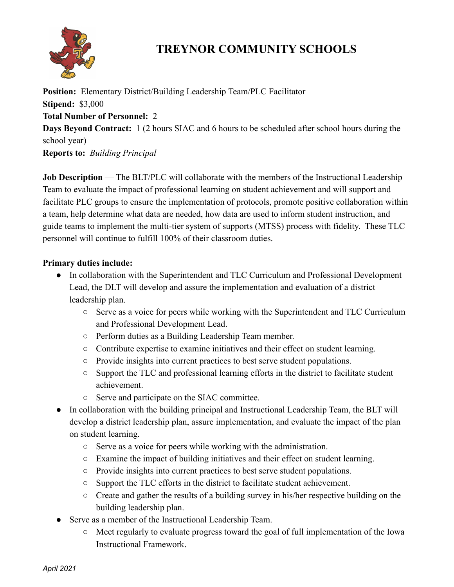

## **TREYNOR COMMUNITY SCHOOLS**

**Position:** Elementary District/Building Leadership Team/PLC Facilitator **Stipend:** \$3,000 **Total Number of Personnel:** 2 **Days Beyond Contract:** 1 (2 hours SIAC and 6 hours to be scheduled after school hours during the school year) **Reports to:** *Building Principal*

**Job Description** — The BLT/PLC will collaborate with the members of the Instructional Leadership Team to evaluate the impact of professional learning on student achievement and will support and facilitate PLC groups to ensure the implementation of protocols, promote positive collaboration within a team, help determine what data are needed, how data are used to inform student instruction, and guide teams to implement the multi-tier system of supports (MTSS) process with fidelity. These TLC personnel will continue to fulfill 100% of their classroom duties.

## **Primary duties include:**

- In collaboration with the Superintendent and TLC Curriculum and Professional Development Lead, the DLT will develop and assure the implementation and evaluation of a district leadership plan.
	- Serve as a voice for peers while working with the Superintendent and TLC Curriculum and Professional Development Lead.
	- Perform duties as a Building Leadership Team member.
	- Contribute expertise to examine initiatives and their effect on student learning.
	- Provide insights into current practices to best serve student populations.
	- Support the TLC and professional learning efforts in the district to facilitate student achievement.
	- Serve and participate on the SIAC committee.
- In collaboration with the building principal and Instructional Leadership Team, the BLT will develop a district leadership plan, assure implementation, and evaluate the impact of the plan on student learning.
	- Serve as a voice for peers while working with the administration.
	- Examine the impact of building initiatives and their effect on student learning.
	- Provide insights into current practices to best serve student populations.
	- Support the TLC efforts in the district to facilitate student achievement.
	- Create and gather the results of a building survey in his/her respective building on the building leadership plan.
- Serve as a member of the Instructional Leadership Team.
	- $\circ$  Meet regularly to evaluate progress toward the goal of full implementation of the Iowa Instructional Framework.